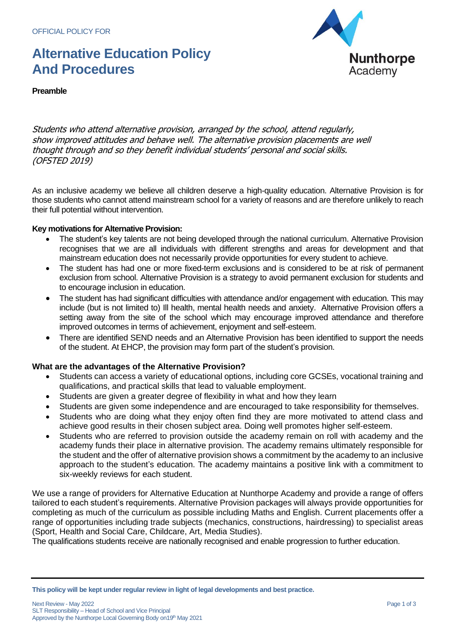## **Alternative Education Policy And Procedures**



**Preamble**

Students who attend alternative provision, arranged by the school, attend regularly, show improved attitudes and behave well. The alternative provision placements are well thought through and so they benefit individual students' personal and social skills. (OFSTED 2019)

As an inclusive academy we believe all children deserve a high-quality education. Alternative Provision is for those students who cannot attend mainstream school for a variety of reasons and are therefore unlikely to reach their full potential without intervention.

#### **Key motivations for Alternative Provision:**

- The student's key talents are not being developed through the national curriculum. Alternative Provision recognises that we are all individuals with different strengths and areas for development and that mainstream education does not necessarily provide opportunities for every student to achieve.
- The student has had one or more fixed-term exclusions and is considered to be at risk of permanent exclusion from school. Alternative Provision is a strategy to avoid permanent exclusion for students and to encourage inclusion in education.
- The student has had significant difficulties with attendance and/or engagement with education. This may include (but is not limited to) Ill health, mental health needs and anxiety. Alternative Provision offers a setting away from the site of the school which may encourage improved attendance and therefore improved outcomes in terms of achievement, enjoyment and self-esteem.
- There are identified SEND needs and an Alternative Provision has been identified to support the needs of the student. At EHCP, the provision may form part of the student's provision.

## **What are the advantages of the Alternative Provision?**

- Students can access a variety of educational options, including core GCSEs, vocational training and qualifications, and practical skills that lead to valuable employment.
- Students are given a greater degree of flexibility in what and how they learn
- Students are given some independence and are encouraged to take responsibility for themselves.
- Students who are doing what they enjoy often find they are more motivated to attend class and achieve good results in their chosen subject area. Doing well promotes higher self-esteem.
- Students who are referred to provision outside the academy remain on roll with academy and the academy funds their place in alternative provision. The academy remains ultimately responsible for the student and the offer of alternative provision shows a commitment by the academy to an inclusive approach to the student's education. The academy maintains a positive link with a commitment to six-weekly reviews for each student.

We use a range of providers for Alternative Education at Nunthorpe Academy and provide a range of offers tailored to each student's requirements. Alternative Provision packages will always provide opportunities for completing as much of the curriculum as possible including Maths and English. Current placements offer a range of opportunities including trade subjects (mechanics, constructions, hairdressing) to specialist areas (Sport, Health and Social Care, Childcare, Art, Media Studies).

The qualifications students receive are nationally recognised and enable progression to further education.

**This policy will be kept under regular review in light of legal developments and best practice.**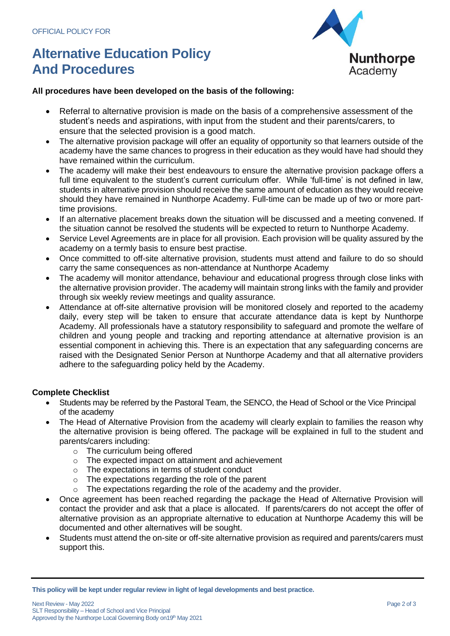# **Alternative Education Policy And Procedures**



## **All procedures have been developed on the basis of the following:**

- Referral to alternative provision is made on the basis of a comprehensive assessment of the student's needs and aspirations, with input from the student and their parents/carers, to ensure that the selected provision is a good match.
- The alternative provision package will offer an equality of opportunity so that learners outside of the academy have the same chances to progress in their education as they would have had should they have remained within the curriculum.
- The academy will make their best endeavours to ensure the alternative provision package offers a full time equivalent to the student's current curriculum offer. While 'full-time' is not defined in law, students in alternative provision should receive the same amount of education as they would receive should they have remained in Nunthorpe Academy. Full-time can be made up of two or more parttime provisions.
- If an alternative placement breaks down the situation will be discussed and a meeting convened. If the situation cannot be resolved the students will be expected to return to Nunthorpe Academy.
- Service Level Agreements are in place for all provision. Each provision will be quality assured by the academy on a termly basis to ensure best practise.
- Once committed to off-site alternative provision, students must attend and failure to do so should carry the same consequences as non-attendance at Nunthorpe Academy
- The academy will monitor attendance, behaviour and educational progress through close links with the alternative provision provider. The academy will maintain strong links with the family and provider through six weekly review meetings and quality assurance.
- Attendance at off-site alternative provision will be monitored closely and reported to the academy daily, every step will be taken to ensure that accurate attendance data is kept by Nunthorpe Academy. All professionals have a statutory responsibility to safeguard and promote the welfare of children and young people and tracking and reporting attendance at alternative provision is an essential component in achieving this. There is an expectation that any safeguarding concerns are raised with the Designated Senior Person at Nunthorpe Academy and that all alternative providers adhere to the safeguarding policy held by the Academy.

## **Complete Checklist**

- Students may be referred by the Pastoral Team, the SENCO, the Head of School or the Vice Principal of the academy
- The Head of Alternative Provision from the academy will clearly explain to families the reason why the alternative provision is being offered. The package will be explained in full to the student and parents/carers including:
	- o The curriculum being offered
	- o The expected impact on attainment and achievement
	- o The expectations in terms of student conduct
	- o The expectations regarding the role of the parent
	- $\circ$  The expectations regarding the role of the academy and the provider.
- Once agreement has been reached regarding the package the Head of Alternative Provision will contact the provider and ask that a place is allocated. If parents/carers do not accept the offer of alternative provision as an appropriate alternative to education at Nunthorpe Academy this will be documented and other alternatives will be sought.
- Students must attend the on-site or off-site alternative provision as required and parents/carers must support this.

**This policy will be kept under regular review in light of legal developments and best practice.**